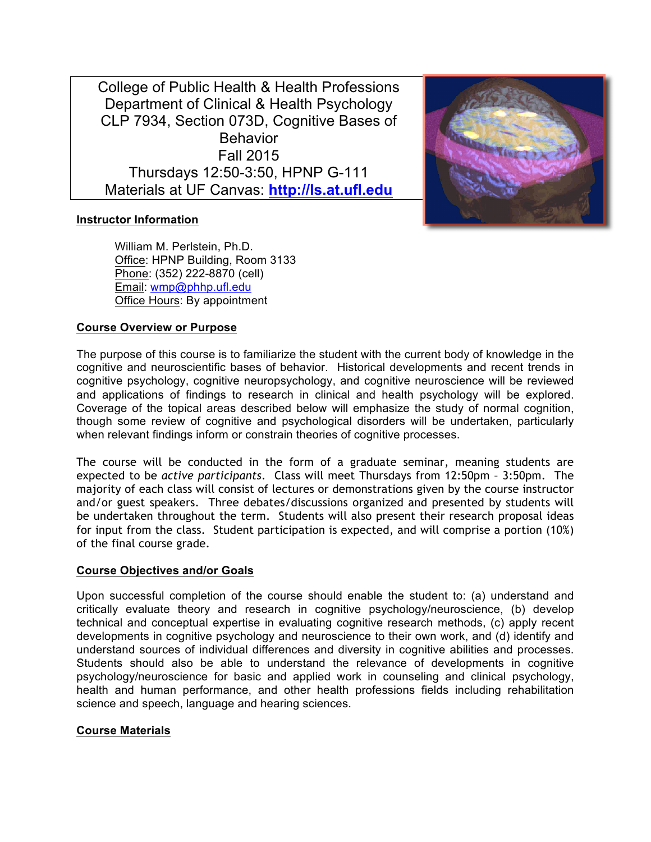College of Public Health & Health Professions Department of Clinical & Health Psychology CLP 7934, Section 073D, Cognitive Bases of **Behavior** Fall 2015 Thursdays 12:50-3:50, HPNP G-111 Materials at UF Canvas: **http://ls.at.ufl.edu**



# **Instructor Information**

William M. Perlstein, Ph.D. Office: HPNP Building, Room 3133 Phone: (352) 222-8870 (cell) Email: wmp@phhp.ufl.edu Office Hours: By appointment

# **Course Overview or Purpose**

The purpose of this course is to familiarize the student with the current body of knowledge in the cognitive and neuroscientific bases of behavior. Historical developments and recent trends in cognitive psychology, cognitive neuropsychology, and cognitive neuroscience will be reviewed and applications of findings to research in clinical and health psychology will be explored. Coverage of the topical areas described below will emphasize the study of normal cognition, though some review of cognitive and psychological disorders will be undertaken, particularly when relevant findings inform or constrain theories of cognitive processes.

The course will be conducted in the form of a graduate seminar, meaning students are expected to be *active participants*. Class will meet Thursdays from 12:50pm – 3:50pm. The majority of each class will consist of lectures or demonstrations given by the course instructor and/or guest speakers. Three debates/discussions organized and presented by students will be undertaken throughout the term. Students will also present their research proposal ideas for input from the class. Student participation is expected, and will comprise a portion (10%) of the final course grade.

## **Course Objectives and/or Goals**

Upon successful completion of the course should enable the student to: (a) understand and critically evaluate theory and research in cognitive psychology/neuroscience, (b) develop technical and conceptual expertise in evaluating cognitive research methods, (c) apply recent developments in cognitive psychology and neuroscience to their own work, and (d) identify and understand sources of individual differences and diversity in cognitive abilities and processes. Students should also be able to understand the relevance of developments in cognitive psychology/neuroscience for basic and applied work in counseling and clinical psychology, health and human performance, and other health professions fields including rehabilitation science and speech, language and hearing sciences.

## **Course Materials**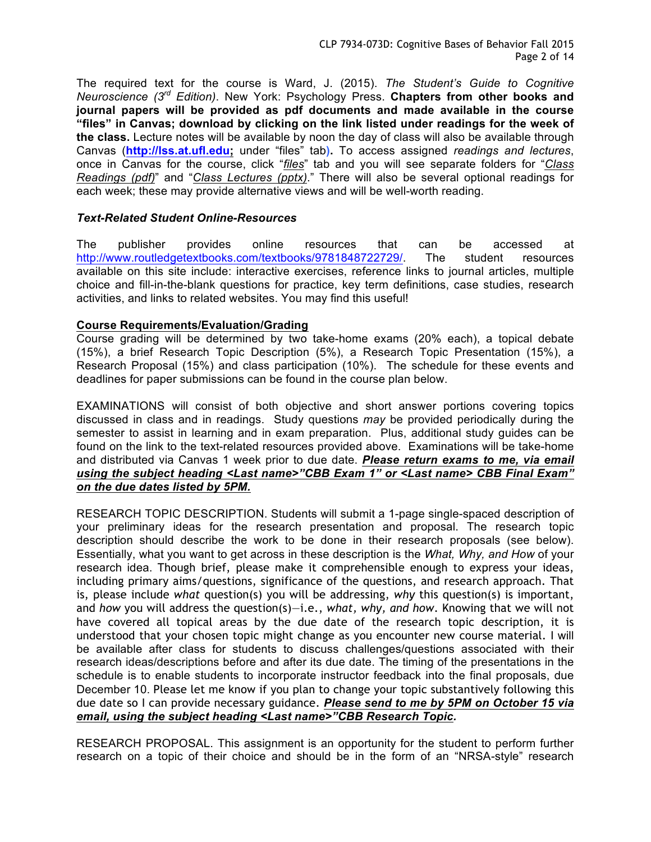The required text for the course is Ward, J. (2015). *The Student's Guide to Cognitive Neuroscience (3rd Edition)*. New York: Psychology Press. **Chapters from other books and journal papers will be provided as pdf documents and made available in the course "files" in Canvas; download by clicking on the link listed under readings for the week of the class.** Lecture notes will be available by noon the day of class will also be available through Canvas (**http://lss.at.ufl.edu;** under "files" tab**).** To access assigned *readings and lectures*, once in Canvas for the course, click "*files*" tab and you will see separate folders for "*Class Readings (pdf)*" and "*Class Lectures (pptx)*." There will also be several optional readings for each week; these may provide alternative views and will be well-worth reading.

# *Text-Related Student Online-Resources*

The publisher provides online resources that can be accessed at http://www.routledgetextbooks.com/textbooks/9781848722729/. The student resources available on this site include: interactive exercises, reference links to journal articles, multiple choice and fill-in-the-blank questions for practice, key term definitions, case studies, research activities, and links to related websites. You may find this useful!

# **Course Requirements/Evaluation/Grading**

Course grading will be determined by two take-home exams (20% each), a topical debate (15%), a brief Research Topic Description (5%), a Research Topic Presentation (15%), a Research Proposal (15%) and class participation (10%). The schedule for these events and deadlines for paper submissions can be found in the course plan below.

EXAMINATIONS will consist of both objective and short answer portions covering topics discussed in class and in readings. Study questions *may* be provided periodically during the semester to assist in learning and in exam preparation. Plus, additional study guides can be found on the link to the text-related resources provided above. Examinations will be take-home and distributed via Canvas 1 week prior to due date. *Please return exams to me, via email using the subject heading <Last name>"CBB Exam 1" or <Last name> CBB Final Exam" on the due dates listed by 5PM.*

RESEARCH TOPIC DESCRIPTION. Students will submit a 1-page single-spaced description of your preliminary ideas for the research presentation and proposal. The research topic description should describe the work to be done in their research proposals (see below). Essentially, what you want to get across in these description is the *What, Why, and How* of your research idea. Though brief, please make it comprehensible enough to express your ideas, including primary aims/questions, significance of the questions, and research approach. That is, please include *what* question(s) you will be addressing, *why* this question(s) is important, and *how* you will address the question(s)—i.e., *what, why, and how*. Knowing that we will not have covered all topical areas by the due date of the research topic description, it is understood that your chosen topic might change as you encounter new course material. I will be available after class for students to discuss challenges/questions associated with their research ideas/descriptions before and after its due date. The timing of the presentations in the schedule is to enable students to incorporate instructor feedback into the final proposals, due December 10. Please let me know if you plan to change your topic substantively following this due date so I can provide necessary guidance. *Please send to me by 5PM on October 15 via email, using the subject heading <Last name>"CBB Research Topic.*

RESEARCH PROPOSAL. This assignment is an opportunity for the student to perform further research on a topic of their choice and should be in the form of an "NRSA-style" research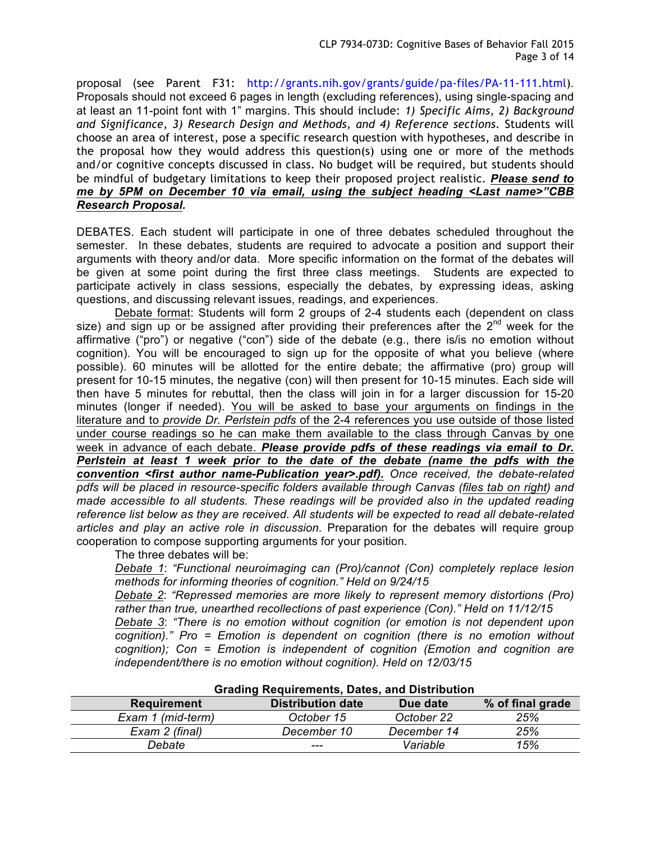proposal (see Parent F31: http://grants.nih.gov/grants/guide/pa-files/PA-11-111.html). Proposals should not exceed 6 pages in length (excluding references), using single-spacing and at least an 11-point font with 1" margins. This should include: *1) Specific Aims, 2) Background and Significance, 3) Research Design and Methods, and 4) Reference sections*. Students will choose an area of interest, pose a specific research question with hypotheses, and describe in the proposal how they would address this question(s) using one or more of the methods and/or cognitive concepts discussed in class. No budget will be required, but students should be mindful of budgetary limitations to keep their proposed project realistic. *Please send to me by 5PM on December 10 via email, using the subject heading <Last name>"CBB Research Proposal.*

DEBATES. Each student will participate in one of three debates scheduled throughout the semester. In these debates, students are required to advocate a position and support their arguments with theory and/or data. More specific information on the format of the debates will be given at some point during the first three class meetings. Students are expected to participate actively in class sessions, especially the debates, by expressing ideas, asking questions, and discussing relevant issues, readings, and experiences.

Debate format: Students will form 2 groups of 2-4 students each (dependent on class size) and sign up or be assigned after providing their preferences after the  $2^{nd}$  week for the affirmative ("pro") or negative ("con") side of the debate (e.g., there is/is no emotion without cognition). You will be encouraged to sign up for the opposite of what you believe (where possible). 60 minutes will be allotted for the entire debate; the affirmative (pro) group will present for 10-15 minutes, the negative (con) will then present for 10-15 minutes. Each side will then have 5 minutes for rebuttal, then the class will join in for a larger discussion for 15-20 minutes (longer if needed). You will be asked to base your arguments on findings in the literature and to *provide Dr. Perlstein pdfs* of the 2-4 references you use outside of those listed under course readings so he can make them available to the class through Canvas by one week in advance of each debate. *Please provide pdfs of these readings via email to Dr. Perlstein at least 1 week prior to the date of the debate (name the pdfs with the convention <first author name-Publication year>.pdf). Once received, the debate-related pdfs will be placed in resource-specific folders available through Canvas (files tab on right) and made accessible to all students. These readings will be provided also in the updated reading reference list below as they are received. All students will be expected to read all debate-related articles and play an active role in discussion.* Preparation for the debates will require group cooperation to compose supporting arguments for your position.

The three debates will be:

*Debate 1*: *"Functional neuroimaging can (Pro)/cannot (Con) completely replace lesion methods for informing theories of cognition." Held on 9/24/15*

*Debate 2*: *"Repressed memories are more likely to represent memory distortions (Pro) rather than true, unearthed recollections of past experience (Con)." Held on 11/12/15*

*Debate 3*: *"There is no emotion without cognition (or emotion is not dependent upon cognition)." Pro = Emotion is dependent on cognition (there is no emotion without cognition); Con = Emotion is independent of cognition (Emotion and cognition are independent/there is no emotion without cognition). Held on 12/03/15*

| Grading Requirements, Dates, and Distribution |                          |             |                  |  |  |
|-----------------------------------------------|--------------------------|-------------|------------------|--|--|
| <b>Requirement</b>                            | <b>Distribution date</b> | Due date    | % of final grade |  |  |
| Exam 1 (mid-term)                             | October 15               | October 22  | 25%              |  |  |
| Exam 2 (final)                                | December 10              | December 14 | 25%              |  |  |
| Debate                                        | ---                      | Variable    | 15%              |  |  |

# **Grading Requirements, Dates, and Distribution**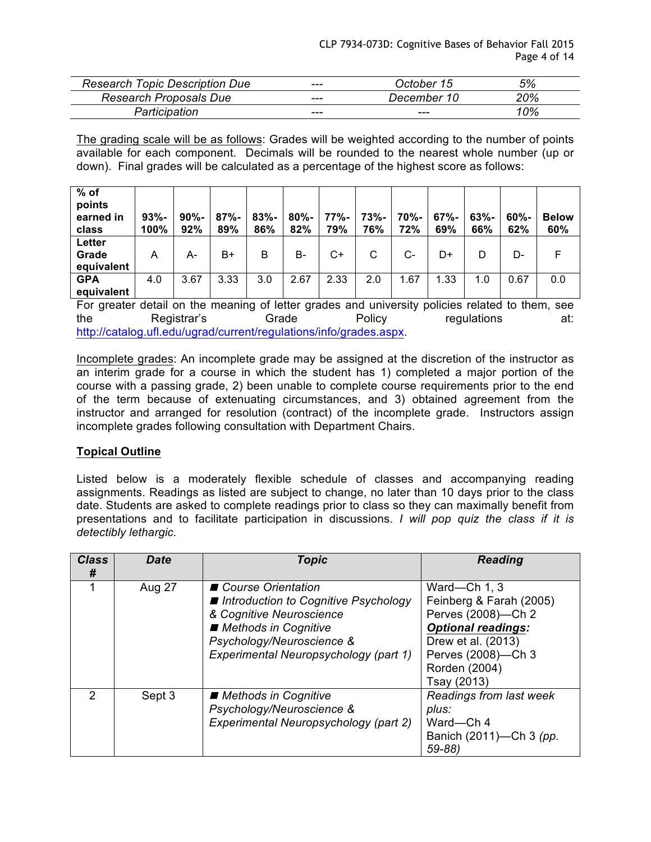| <b>Research Topic Description Due</b> | --- | October 15  | 5%  |
|---------------------------------------|-----|-------------|-----|
| <b>Research Proposals Due</b>         | --- | December 10 | 20% |
| Participation                         | --- | ---         | 10% |

The grading scale will be as follows: Grades will be weighted according to the number of points available for each component. Decimals will be rounded to the nearest whole number (up or down). Final grades will be calculated as a percentage of the highest score as follows:

| $%$ of<br>points<br>earned in<br>class | $93% -$<br>100% | $90% -$<br>92% | $87% -$<br>89% | $83% -$<br>86% | $80% -$<br>82% | 77%-<br>79% | 73%-<br>76% | 70%-<br>72% | $67% -$<br>69% | $63% -$<br>66% | $60% -$<br>62% | <b>Below</b><br>60% |
|----------------------------------------|-----------------|----------------|----------------|----------------|----------------|-------------|-------------|-------------|----------------|----------------|----------------|---------------------|
| <b>Letter</b><br>Grade<br>equivalent   | A               | А-             | B+             | B              | B-             | C+          | С           | $C-$        | D+             | D              | D-             |                     |
| <b>GPA</b><br>equivalent               | 4.0             | 3.67           | 3.33           | 3.0            | 2.67           | 2.33        | 2.0         | .67         | 1.33           | 1.0            | 0.67           | 0.0                 |

For greater detail on the meaning of letter grades and university policies related to them, see the Registrar's Grade Policy regulations at: http://catalog.ufl.edu/ugrad/current/regulations/info/grades.aspx.

Incomplete grades: An incomplete grade may be assigned at the discretion of the instructor as an interim grade for a course in which the student has 1) completed a major portion of the course with a passing grade, 2) been unable to complete course requirements prior to the end of the term because of extenuating circumstances, and 3) obtained agreement from the instructor and arranged for resolution (contract) of the incomplete grade. Instructors assign incomplete grades following consultation with Department Chairs.

# **Topical Outline**

Listed below is a moderately flexible schedule of classes and accompanying reading assignments. Readings as listed are subject to change, no later than 10 days prior to the class date. Students are asked to complete readings prior to class so they can maximally benefit from presentations and to facilitate participation in discussions. *I will pop quiz the class if it is detectibly lethargic.*

| <b>Class</b><br># | <b>Date</b> | <b>Topic</b>                                                                                                                                                                               | <b>Reading</b>                                                                                                                                                         |
|-------------------|-------------|--------------------------------------------------------------------------------------------------------------------------------------------------------------------------------------------|------------------------------------------------------------------------------------------------------------------------------------------------------------------------|
|                   | Aug 27      | ■ Course Orientation<br>■ Introduction to Cognitive Psychology<br>& Cognitive Neuroscience<br>■ Methods in Cognitive<br>Psychology/Neuroscience &<br>Experimental Neuropsychology (part 1) | Ward-Ch 1, 3<br>Feinberg & Farah (2005)<br>Perves (2008)-Ch 2<br><b>Optional readings:</b><br>Drew et al. (2013)<br>Perves (2008)-Ch 3<br>Rorden (2004)<br>Tsay (2013) |
| 2                 | Sept 3      | ■ Methods in Cognitive<br>Psychology/Neuroscience &<br>Experimental Neuropsychology (part 2)                                                                                               | Readings from last week<br>plus:<br>Ward-Ch 4<br>Banich (2011)-Ch 3 (pp.<br>$59 - 88$                                                                                  |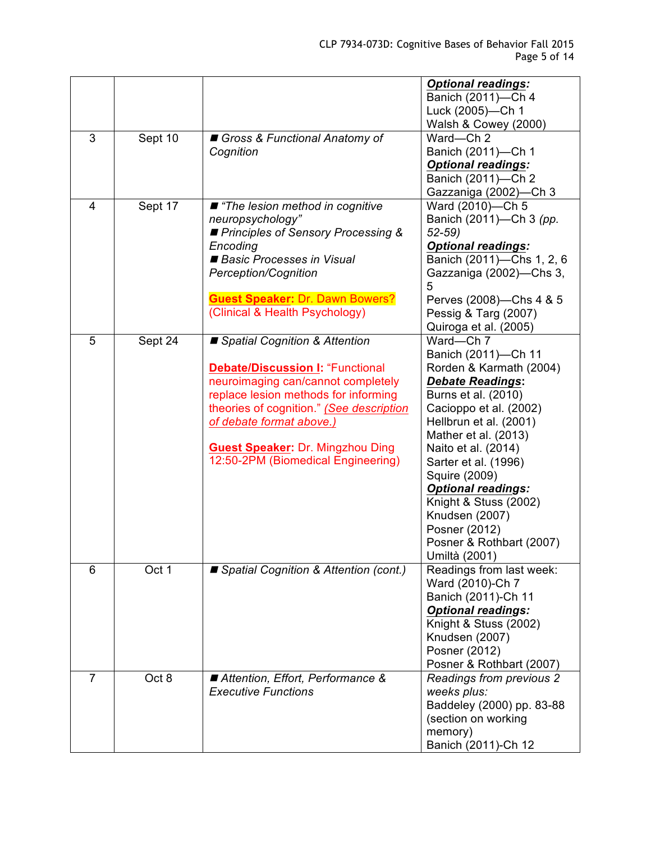|   |         |                                                                                                                                                                                                                                                                                                                   | <b>Optional readings:</b><br>Banich (2011)-Ch 4<br>Luck (2005)-Ch 1<br>Walsh & Cowey (2000)                                                                                                                                                                                                                                                                                                     |
|---|---------|-------------------------------------------------------------------------------------------------------------------------------------------------------------------------------------------------------------------------------------------------------------------------------------------------------------------|-------------------------------------------------------------------------------------------------------------------------------------------------------------------------------------------------------------------------------------------------------------------------------------------------------------------------------------------------------------------------------------------------|
| 3 | Sept 10 | Gross & Functional Anatomy of<br>Cognition                                                                                                                                                                                                                                                                        | Ward-Ch 2<br>Banich (2011)-Ch 1<br><b>Optional readings:</b><br>Banich (2011)-Ch 2<br>Gazzaniga (2002)-Ch 3                                                                                                                                                                                                                                                                                     |
| 4 | Sept 17 | $\blacksquare$ "The lesion method in cognitive<br>neuropsychology"<br>Principles of Sensory Processing &<br>Encoding<br>Basic Processes in Visual<br>Perception/Cognition<br><b>Guest Speaker: Dr. Dawn Bowers?</b><br>(Clinical & Health Psychology)                                                             | Ward (2010)-Ch 5<br>Banich (2011)-Ch 3 (pp.<br>$52 - 59$<br><b>Optional readings:</b><br>Banich (2011)-Chs 1, 2, 6<br>Gazzaniga (2002)-Chs 3,<br>5<br>Perves (2008)-Chs 4 & 5<br>Pessig & Targ (2007)<br>Quiroga et al. (2005)                                                                                                                                                                  |
| 5 | Sept 24 | ■ Spatial Cognition & Attention<br><b>Debate/Discussion I: "Functional</b><br>neuroimaging can/cannot completely<br>replace lesion methods for informing<br>theories of cognition." (See description<br>of debate format above.)<br><b>Guest Speaker: Dr. Mingzhou Ding</b><br>12:50-2PM (Biomedical Engineering) | Ward-Ch 7<br>Banich (2011)-Ch 11<br>Rorden & Karmath (2004)<br><b>Debate Readings:</b><br>Burns et al. (2010)<br>Cacioppo et al. (2002)<br>Hellbrun et al. (2001)<br>Mather et al. (2013)<br>Naito et al. (2014)<br>Sarter et al. (1996)<br>Squire (2009)<br><b>Optional readings:</b><br>Knight & Stuss (2002)<br>Knudsen (2007)<br>Posner (2012)<br>Posner & Rothbart (2007)<br>Umiltà (2001) |
| 6 | Oct 1   | ■ Spatial Cognition & Attention (cont.)                                                                                                                                                                                                                                                                           | Readings from last week:<br>Ward (2010)-Ch 7<br>Banich (2011)-Ch 11<br><b>Optional readings:</b><br>Knight & Stuss (2002)<br>Knudsen (2007)<br>Posner (2012)<br>Posner & Rothbart (2007)                                                                                                                                                                                                        |
| 7 | Oct 8   | Attention, Effort, Performance &<br><b>Executive Functions</b>                                                                                                                                                                                                                                                    | Readings from previous 2<br>weeks plus:<br>Baddeley (2000) pp. 83-88<br>(section on working<br>memory)<br>Banich (2011)-Ch 12                                                                                                                                                                                                                                                                   |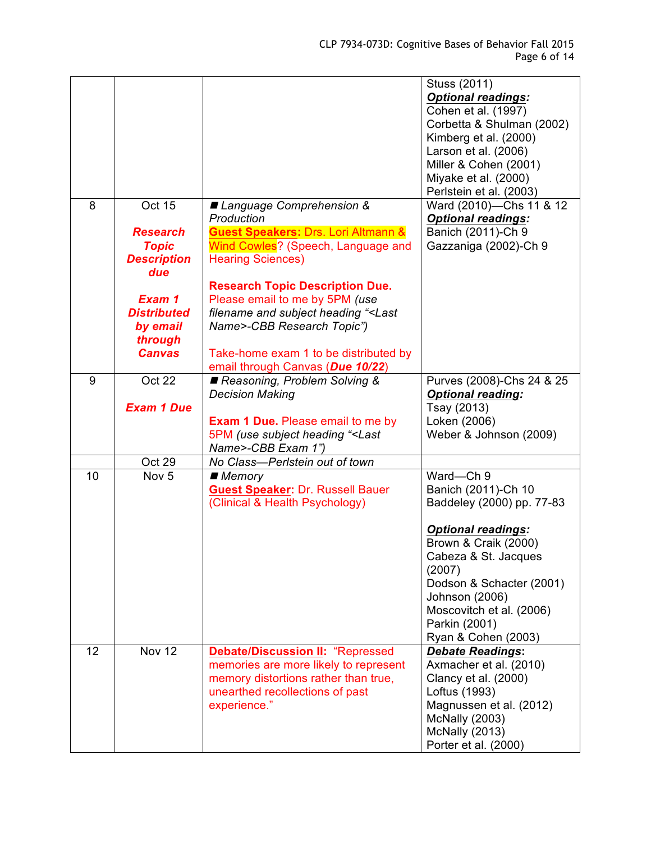|    |                           |                                                                                     | Stuss (2011)<br><b>Optional readings:</b>        |
|----|---------------------------|-------------------------------------------------------------------------------------|--------------------------------------------------|
|    |                           |                                                                                     | Cohen et al. (1997)                              |
|    |                           |                                                                                     | Corbetta & Shulman (2002)                        |
|    |                           |                                                                                     | Kimberg et al. (2000)                            |
|    |                           |                                                                                     | Larson et al. (2006)                             |
|    |                           |                                                                                     | Miller & Cohen (2001)                            |
|    |                           |                                                                                     | Miyake et al. (2000)                             |
|    |                           |                                                                                     | Perlstein et al. (2003)                          |
| 8  | Oct 15                    | ■ Language Comprehension &                                                          | Ward (2010)-Chs 11 & 12                          |
|    |                           | Production                                                                          | <b>Optional readings:</b>                        |
|    | <b>Research</b>           | <b>Guest Speakers: Drs. Lori Altmann &amp;</b>                                      | Banich (2011)-Ch 9                               |
|    | <b>Topic</b>              | Wind Cowles? (Speech, Language and                                                  | Gazzaniga (2002)-Ch 9                            |
|    | <b>Description</b><br>due | <b>Hearing Sciences)</b>                                                            |                                                  |
|    |                           | <b>Research Topic Description Due.</b>                                              |                                                  |
|    | Exam 1                    | Please email to me by 5PM (use                                                      |                                                  |
|    | <b>Distributed</b>        | filename and subject heading " <last< th=""><th></th></last<>                       |                                                  |
|    | by email                  | Name>-CBB Research Topic")                                                          |                                                  |
|    | through                   |                                                                                     |                                                  |
|    | <b>Canvas</b>             | Take-home exam 1 to be distributed by                                               |                                                  |
|    |                           | email through Canvas (Due 10/22)                                                    |                                                  |
| 9  | Oct 22                    | Reasoning, Problem Solving &                                                        | Purves (2008)-Chs 24 & 25                        |
|    |                           | <b>Decision Making</b>                                                              | <b>Optional reading:</b>                         |
|    | <b>Exam 1 Due</b>         |                                                                                     | Tsay (2013)                                      |
|    |                           | <b>Exam 1 Due.</b> Please email to me by                                            | Loken (2006)                                     |
|    |                           | 5PM (use subject heading " <last< th=""><th>Weber &amp; Johnson (2009)</th></last<> | Weber & Johnson (2009)                           |
|    |                           | Name>-CBB Exam 1")                                                                  |                                                  |
| 10 | Oct 29                    | No Class-Perlstein out of town                                                      | Ward-Ch 9                                        |
|    | Nov <sub>5</sub>          | ■ Memory<br><b>Guest Speaker: Dr. Russell Bauer</b>                                 |                                                  |
|    |                           | (Clinical & Health Psychology)                                                      | Banich (2011)-Ch 10<br>Baddeley (2000) pp. 77-83 |
|    |                           |                                                                                     |                                                  |
|    |                           |                                                                                     | <b>Optional readings:</b>                        |
|    |                           |                                                                                     | Brown & Craik (2000)                             |
|    |                           |                                                                                     | Cabeza & St. Jacques                             |
|    |                           |                                                                                     | (2007)                                           |
|    |                           |                                                                                     | Dodson & Schacter (2001)                         |
|    |                           |                                                                                     | Johnson (2006)                                   |
|    |                           |                                                                                     | Moscovitch et al. (2006)                         |
|    |                           |                                                                                     | Parkin (2001)                                    |
|    |                           |                                                                                     | Ryan & Cohen (2003)                              |
| 12 | <b>Nov 12</b>             | <b>Debate/Discussion II: "Repressed</b>                                             | <b>Debate Readings:</b>                          |
|    |                           | memories are more likely to represent                                               | Axmacher et al. (2010)                           |
|    |                           | memory distortions rather than true,                                                | Clancy et al. (2000)                             |
|    |                           | unearthed recollections of past                                                     | Loftus (1993)                                    |
|    |                           | experience."                                                                        | Magnussen et al. (2012)                          |
|    |                           |                                                                                     | <b>McNally (2003)</b>                            |
|    |                           |                                                                                     | <b>McNally (2013)</b>                            |
|    |                           |                                                                                     | Porter et al. (2000)                             |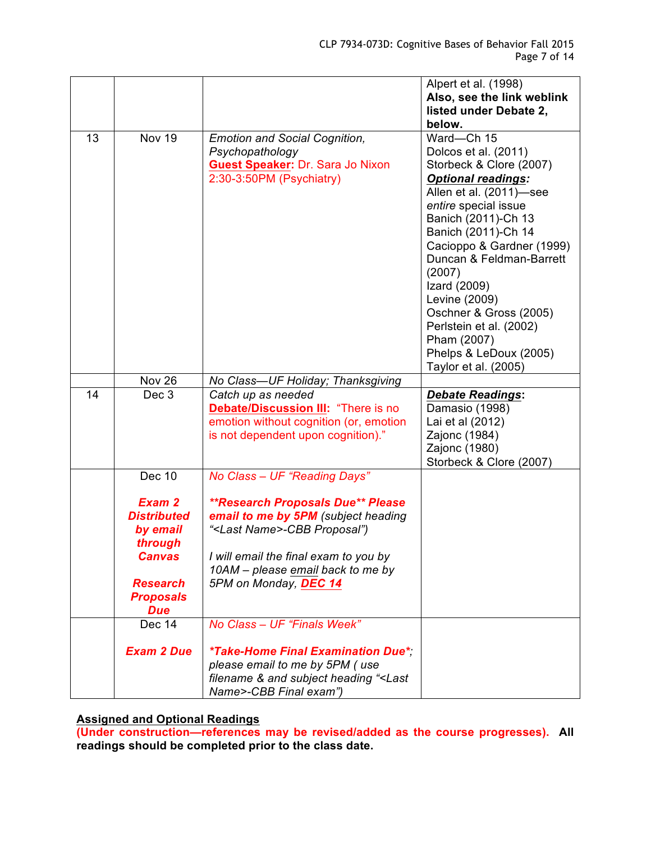|    |                                                                                         |                                                                                                                                                                                                                                            | Alpert et al. (1998)<br>Also, see the link weblink<br>listed under Debate 2,<br>below.                                                                                                                                                                                                                                                                                                                                |
|----|-----------------------------------------------------------------------------------------|--------------------------------------------------------------------------------------------------------------------------------------------------------------------------------------------------------------------------------------------|-----------------------------------------------------------------------------------------------------------------------------------------------------------------------------------------------------------------------------------------------------------------------------------------------------------------------------------------------------------------------------------------------------------------------|
| 13 | <b>Nov 19</b>                                                                           | <b>Emotion and Social Cognition,</b><br>Psychopathology<br><b>Guest Speaker: Dr. Sara Jo Nixon</b><br>2:30-3:50PM (Psychiatry)                                                                                                             | Ward-Ch 15<br>Dolcos et al. (2011)<br>Storbeck & Clore (2007)<br><b>Optional readings:</b><br>Allen et al. (2011)-see<br>entire special issue<br>Banich (2011)-Ch 13<br>Banich (2011)-Ch 14<br>Cacioppo & Gardner (1999)<br>Duncan & Feldman-Barrett<br>(2007)<br>Izard (2009)<br>Levine (2009)<br>Oschner & Gross (2005)<br>Perlstein et al. (2002)<br>Pham (2007)<br>Phelps & LeDoux (2005)<br>Taylor et al. (2005) |
|    | Nov 26                                                                                  | No Class-UF Holiday; Thanksgiving                                                                                                                                                                                                          |                                                                                                                                                                                                                                                                                                                                                                                                                       |
| 14 | Dec 3                                                                                   | Catch up as needed<br>Debate/Discussion III: "There is no<br>emotion without cognition (or, emotion<br>is not dependent upon cognition)."                                                                                                  | <b>Debate Readings:</b><br>Damasio (1998)<br>Lai et al (2012)<br>Zajonc (1984)<br>Zajonc (1980)<br>Storbeck & Clore (2007)                                                                                                                                                                                                                                                                                            |
|    | <b>Dec 10</b>                                                                           | No Class - UF "Reading Days"                                                                                                                                                                                                               |                                                                                                                                                                                                                                                                                                                                                                                                                       |
|    | Exam 2<br><b>Distributed</b><br>by email<br>through<br><b>Canvas</b><br><b>Research</b> | <i><b>**Research Proposals Due** Please</b></i><br>email to me by 5PM (subject heading<br>" <last name="">-CBB Proposal")<br/>I will email the final exam to you by<br/>10AM - please email back to me by<br/>5PM on Monday, DEC 14</last> |                                                                                                                                                                                                                                                                                                                                                                                                                       |
|    | <b>Proposals</b><br><b>Due</b>                                                          |                                                                                                                                                                                                                                            |                                                                                                                                                                                                                                                                                                                                                                                                                       |
|    | Dec 14                                                                                  | No Class - UF "Finals Week"                                                                                                                                                                                                                |                                                                                                                                                                                                                                                                                                                                                                                                                       |
|    | <b>Exam 2 Due</b>                                                                       | *Take-Home Final Examination Due*<br>please email to me by 5PM (use<br>filename & and subject heading " <last<br>Name&gt;-CBB Final exam")</last<br>                                                                                       |                                                                                                                                                                                                                                                                                                                                                                                                                       |

**Assigned and Optional Readings**

**(Under construction—references may be revised/added as the course progresses). All readings should be completed prior to the class date.**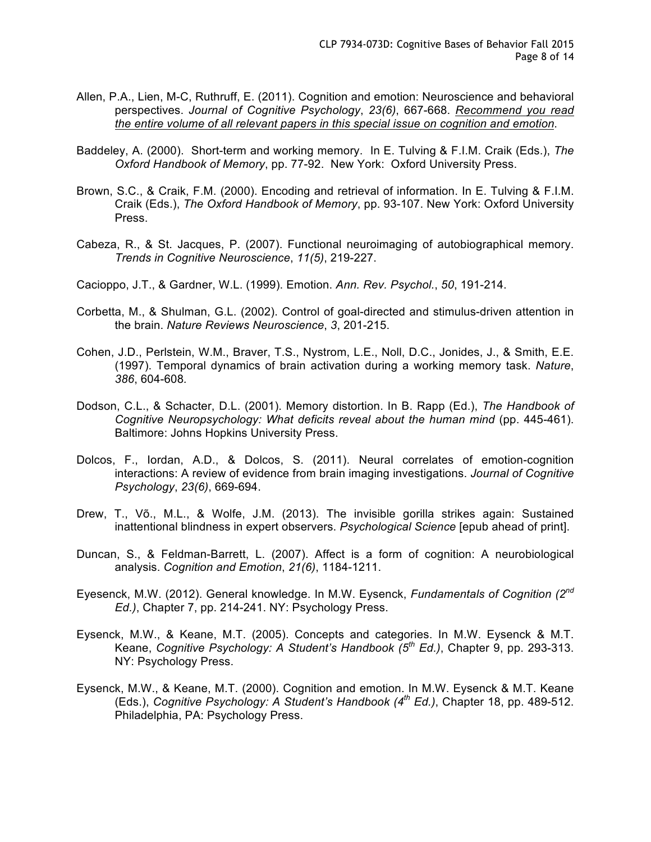- Allen, P.A., Lien, M-C, Ruthruff, E. (2011). Cognition and emotion: Neuroscience and behavioral perspectives. *Journal of Cognitive Psychology*, *23(6)*, 667-668. *Recommend you read the entire volume of all relevant papers in this special issue on cognition and emotion*.
- Baddeley, A. (2000). Short-term and working memory. In E. Tulving & F.I.M. Craik (Eds.), *The Oxford Handbook of Memory*, pp. 77-92. New York: Oxford University Press.
- Brown, S.C., & Craik, F.M. (2000). Encoding and retrieval of information. In E. Tulving & F.I.M. Craik (Eds.), *The Oxford Handbook of Memory*, pp. 93-107. New York: Oxford University Press.
- Cabeza, R., & St. Jacques, P. (2007). Functional neuroimaging of autobiographical memory. *Trends in Cognitive Neuroscience*, *11(5)*, 219-227.
- Cacioppo, J.T., & Gardner, W.L. (1999). Emotion. *Ann. Rev. Psychol.*, *50*, 191-214.
- Corbetta, M., & Shulman, G.L. (2002). Control of goal-directed and stimulus-driven attention in the brain. *Nature Reviews Neuroscience*, *3*, 201-215.
- Cohen, J.D., Perlstein, W.M., Braver, T.S., Nystrom, L.E., Noll, D.C., Jonides, J., & Smith, E.E. (1997). Temporal dynamics of brain activation during a working memory task. *Nature*, *386*, 604-608*.*
- Dodson, C.L., & Schacter, D.L. (2001). Memory distortion. In B. Rapp (Ed.), *The Handbook of Cognitive Neuropsychology: What deficits reveal about the human mind* (pp. 445-461). Baltimore: Johns Hopkins University Press.
- Dolcos, F., Iordan, A.D., & Dolcos, S. (2011). Neural correlates of emotion-cognition interactions: A review of evidence from brain imaging investigations. *Journal of Cognitive Psychology*, *23(6)*, 669-694.
- Drew, T., Võ., M.L., & Wolfe, J.M. (2013). The invisible gorilla strikes again: Sustained inattentional blindness in expert observers. *Psychological Science* [epub ahead of print].
- Duncan, S., & Feldman-Barrett, L. (2007). Affect is a form of cognition: A neurobiological analysis. *Cognition and Emotion*, *21(6)*, 1184-1211.
- Eyesenck, M.W. (2012). General knowledge. In M.W. Eysenck, *Fundamentals of Cognition (2nd Ed.)*, Chapter 7, pp. 214-241. NY: Psychology Press.
- Eysenck, M.W., & Keane, M.T. (2005). Concepts and categories. In M.W. Eysenck & M.T. Keane, *Cognitive Psychology: A Student's Handbook (5th Ed.)*, Chapter 9, pp. 293-313. NY: Psychology Press.
- Eysenck, M.W., & Keane, M.T. (2000). Cognition and emotion. In M.W. Eysenck & M.T. Keane (Eds.), *Cognitive Psychology: A Student's Handbook (4th Ed.)*, Chapter 18, pp. 489-512. Philadelphia, PA: Psychology Press.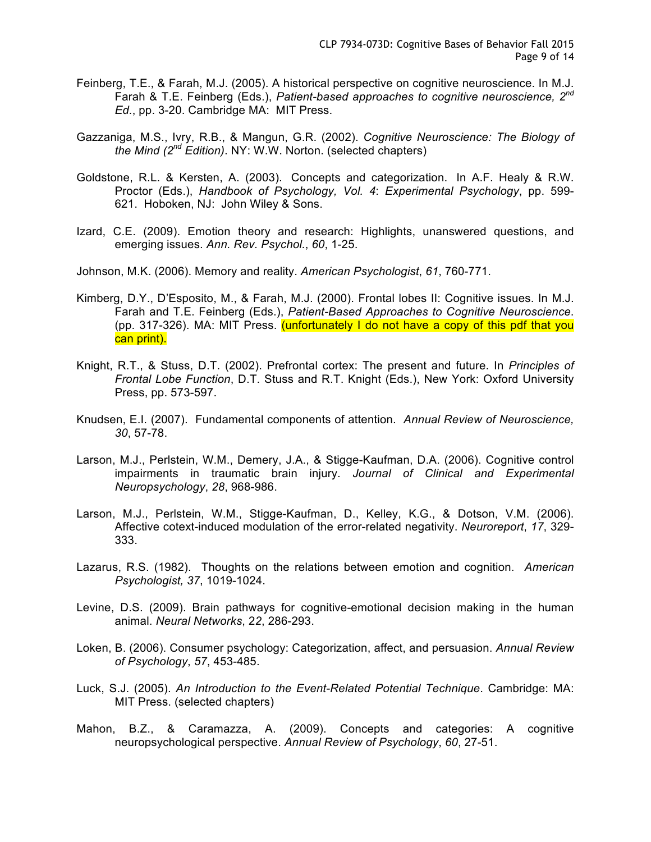- Feinberg, T.E., & Farah, M.J. (2005). A historical perspective on cognitive neuroscience. In M.J. Farah & T.E. Feinberg (Eds.), *Patient-based approaches to cognitive neuroscience, 2nd Ed.*, pp. 3-20. Cambridge MA: MIT Press.
- Gazzaniga, M.S., Ivry, R.B., & Mangun, G.R. (2002). *Cognitive Neuroscience: The Biology of the Mind (2nd Edition)*. NY: W.W. Norton. (selected chapters)
- Goldstone, R.L. & Kersten, A. (2003). Concepts and categorization. In A.F. Healy & R.W. Proctor (Eds.), *Handbook of Psychology, Vol. 4*: *Experimental Psychology*, pp. 599- 621. Hoboken, NJ: John Wiley & Sons.
- Izard, C.E. (2009). Emotion theory and research: Highlights, unanswered questions, and emerging issues. *Ann. Rev. Psychol.*, *60*, 1-25.
- Johnson, M.K. (2006). Memory and reality. *American Psychologist*, *61*, 760-771.
- Kimberg, D.Y., D'Esposito, M., & Farah, M.J. (2000). Frontal lobes II: Cognitive issues. In M.J. Farah and T.E. Feinberg (Eds.), *Patient-Based Approaches to Cognitive Neuroscience*. (pp. 317-326). MA: MIT Press. (unfortunately I do not have a copy of this pdf that you can print).
- Knight, R.T., & Stuss, D.T. (2002). Prefrontal cortex: The present and future. In *Principles of Frontal Lobe Function*, D.T. Stuss and R.T. Knight (Eds.), New York: Oxford University Press, pp. 573-597.
- Knudsen, E.I. (2007). Fundamental components of attention. *Annual Review of Neuroscience, 30*, 57-78.
- Larson, M.J., Perlstein, W.M., Demery, J.A., & Stigge-Kaufman, D.A. (2006). Cognitive control impairments in traumatic brain injury. *Journal of Clinical and Experimental Neuropsychology*, *28*, 968-986.
- Larson, M.J., Perlstein, W.M., Stigge-Kaufman, D., Kelley, K.G., & Dotson, V.M. (2006). Affective cotext-induced modulation of the error-related negativity. *Neuroreport*, *17*, 329- 333.
- Lazarus, R.S. (1982). Thoughts on the relations between emotion and cognition. *American Psychologist, 37*, 1019-1024.
- Levine, D.S. (2009). Brain pathways for cognitive-emotional decision making in the human animal. *Neural Networks*, 2*2*, 286-293.
- Loken, B. (2006). Consumer psychology: Categorization, affect, and persuasion. *Annual Review of Psychology*, *57*, 453-485.
- Luck, S.J. (2005). *An Introduction to the Event-Related Potential Technique*. Cambridge: MA: MIT Press. (selected chapters)
- Mahon, B.Z., & Caramazza, A. (2009). Concepts and categories: A cognitive neuropsychological perspective. *Annual Review of Psychology*, *60*, 27-51.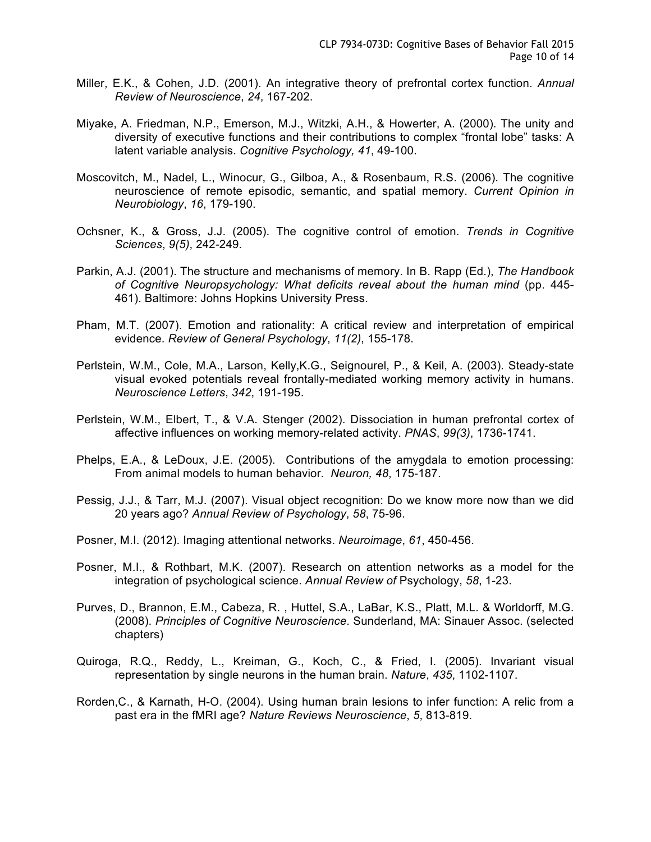- Miller, E.K., & Cohen, J.D. (2001). An integrative theory of prefrontal cortex function. *Annual Review of Neuroscience*, *24*, 167-202.
- Miyake, A. Friedman, N.P., Emerson, M.J., Witzki, A.H., & Howerter, A. (2000). The unity and diversity of executive functions and their contributions to complex "frontal lobe" tasks: A latent variable analysis. *Cognitive Psychology, 41*, 49-100.
- Moscovitch, M., Nadel, L., Winocur, G., Gilboa, A., & Rosenbaum, R.S. (2006). The cognitive neuroscience of remote episodic, semantic, and spatial memory. *Current Opinion in Neurobiology*, *16*, 179-190.
- Ochsner, K., & Gross, J.J. (2005). The cognitive control of emotion. *Trends in Cognitive Sciences*, *9(5)*, 242-249.
- Parkin, A.J. (2001). The structure and mechanisms of memory. In B. Rapp (Ed.), *The Handbook of Cognitive Neuropsychology: What deficits reveal about the human mind* (pp. 445- 461). Baltimore: Johns Hopkins University Press.
- Pham, M.T. (2007). Emotion and rationality: A critical review and interpretation of empirical evidence. *Review of General Psychology*, *11(2)*, 155-178.
- Perlstein, W.M., Cole, M.A., Larson, Kelly,K.G., Seignourel, P., & Keil, A. (2003). Steady-state visual evoked potentials reveal frontally-mediated working memory activity in humans. *Neuroscience Letters*, *342*, 191-195.
- Perlstein, W.M., Elbert, T., & V.A. Stenger (2002). Dissociation in human prefrontal cortex of affective influences on working memory-related activity. *PNAS*, *99(3)*, 1736-1741.
- Phelps, E.A., & LeDoux, J.E. (2005). Contributions of the amygdala to emotion processing: From animal models to human behavior. *Neuron, 48*, 175-187.
- Pessig, J.J., & Tarr, M.J. (2007). Visual object recognition: Do we know more now than we did 20 years ago? *Annual Review of Psychology*, *58*, 75-96.
- Posner, M.I. (2012). Imaging attentional networks. *Neuroimage*, *61*, 450-456.
- Posner, M.I., & Rothbart, M.K. (2007). Research on attention networks as a model for the integration of psychological science. *Annual Review of* Psychology, *58*, 1-23.
- Purves, D., Brannon, E.M., Cabeza, R. , Huttel, S.A., LaBar, K.S., Platt, M.L. & Worldorff, M.G. (2008). *Principles of Cognitive Neuroscience*. Sunderland, MA: Sinauer Assoc. (selected chapters)
- Quiroga, R.Q., Reddy, L., Kreiman, G., Koch, C., & Fried, I. (2005). Invariant visual representation by single neurons in the human brain. *Nature*, *435*, 1102-1107.
- Rorden,C., & Karnath, H-O. (2004). Using human brain lesions to infer function: A relic from a past era in the fMRI age? *Nature Reviews Neuroscience*, *5*, 813-819.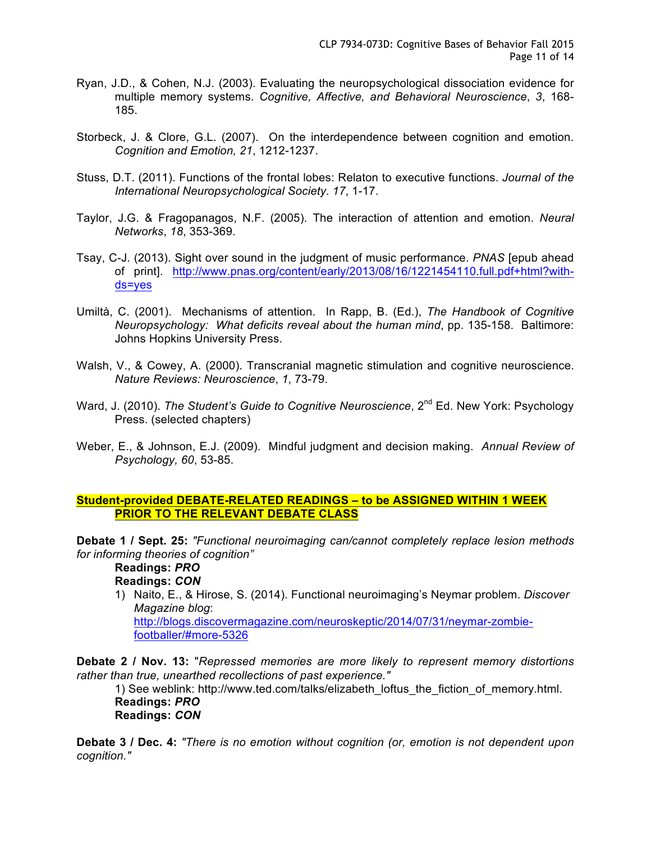- Ryan, J.D., & Cohen, N.J. (2003). Evaluating the neuropsychological dissociation evidence for multiple memory systems. *Cognitive, Affective, and Behavioral Neuroscience*, *3*, 168- 185.
- Storbeck, J. & Clore, G.L. (2007). On the interdependence between cognition and emotion. *Cognition and Emotion, 21*, 1212-1237.
- Stuss, D.T. (2011). Functions of the frontal lobes: Relaton to executive functions. *Journal of the International Neuropsychological Society*. *17*, 1-17.
- Taylor, J.G. & Fragopanagos, N.F. (2005). The interaction of attention and emotion. *Neural Networks*, *18*, 353-369.
- Tsay, C-J. (2013). Sight over sound in the judgment of music performance. *PNAS* [epub ahead of print]. http://www.pnas.org/content/early/2013/08/16/1221454110.full.pdf+html?withds=yes
- Umiltà, C. (2001). Mechanisms of attention. In Rapp, B. (Ed.), *The Handbook of Cognitive Neuropsychology: What deficits reveal about the human mind*, pp. 135-158. Baltimore: Johns Hopkins University Press.
- Walsh, V., & Cowey, A. (2000). Transcranial magnetic stimulation and cognitive neuroscience. *Nature Reviews: Neuroscience*, *1*, 73-79.
- Ward, J. (2010). *The Student's Guide to Cognitive Neuroscience*, 2<sup>nd</sup> Ed. New York: Psychology Press. (selected chapters)
- Weber, E., & Johnson, E.J. (2009). Mindful judgment and decision making. *Annual Review of Psychology, 60*, 53-85.

# **Student-provided DEBATE-RELATED READINGS – to be ASSIGNED WITHIN 1 WEEK PRIOR TO THE RELEVANT DEBATE CLASS**

**Debate 1 / Sept. 25:** *"Functional neuroimaging can/cannot completely replace lesion methods for informing theories of cognition"*

**Readings:** *PRO*

**Readings:** *CON*

1) Naito, E., & Hirose, S. (2014). Functional neuroimaging's Neymar problem. *Discover Magazine blog*: http://blogs.discovermagazine.com/neuroskeptic/2014/07/31/neymar-zombie-

footballer/#more-5326

**Debate 2 / Nov. 13:** "*Repressed memories are more likely to represent memory distortions rather than true, unearthed recollections of past experience."*

1) See weblink: http://www.ted.com/talks/elizabeth\_loftus\_the\_fiction\_of\_memory.html. **Readings:** *PRO* **Readings:** *CON*

**Debate 3 / Dec. 4:** *"There is no emotion without cognition (or, emotion is not dependent upon cognition."*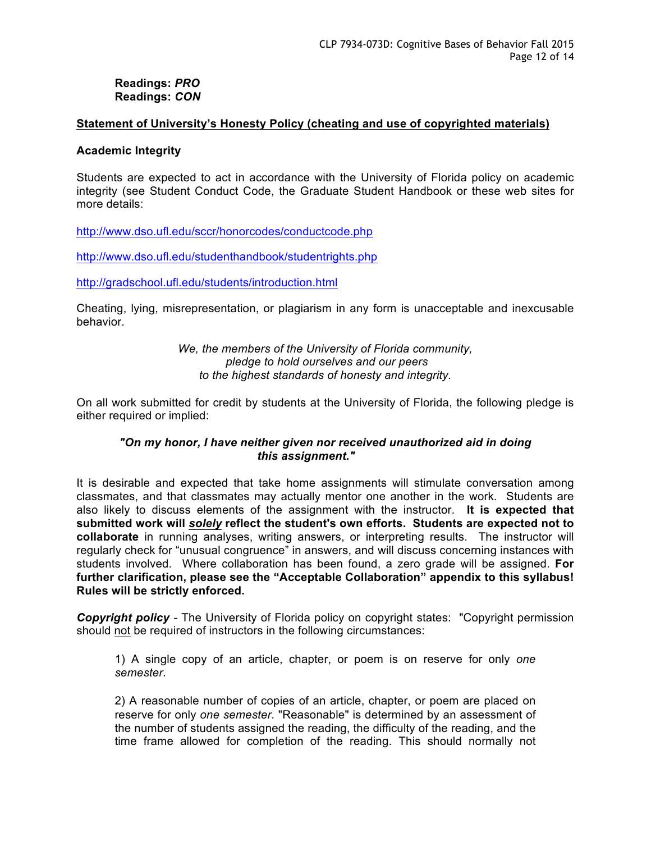#### **Readings:** *PRO* **Readings:** *CON*

#### **Statement of University's Honesty Policy (cheating and use of copyrighted materials)**

#### **Academic Integrity**

Students are expected to act in accordance with the University of Florida policy on academic integrity (see Student Conduct Code, the Graduate Student Handbook or these web sites for more details:

http://www.dso.ufl.edu/sccr/honorcodes/conductcode.php

http://www.dso.ufl.edu/studenthandbook/studentrights.php

http://gradschool.ufl.edu/students/introduction.html

Cheating, lying, misrepresentation, or plagiarism in any form is unacceptable and inexcusable behavior.

> *We, the members of the University of Florida community, pledge to hold ourselves and our peers to the highest standards of honesty and integrity.*

On all work submitted for credit by students at the University of Florida, the following pledge is either required or implied:

# *"On my honor, I have neither given nor received unauthorized aid in doing this assignment."*

It is desirable and expected that take home assignments will stimulate conversation among classmates, and that classmates may actually mentor one another in the work. Students are also likely to discuss elements of the assignment with the instructor. **It is expected that submitted work will** *solely* **reflect the student's own efforts. Students are expected not to collaborate** in running analyses, writing answers, or interpreting results. The instructor will regularly check for "unusual congruence" in answers, and will discuss concerning instances with students involved. Where collaboration has been found, a zero grade will be assigned. **For further clarification, please see the "Acceptable Collaboration" appendix to this syllabus! Rules will be strictly enforced.**

*Copyright policy -* The University of Florida policy on copyright states: "Copyright permission should not be required of instructors in the following circumstances:

1) A single copy of an article, chapter, or poem is on reserve for only *one semester*.

2) A reasonable number of copies of an article, chapter, or poem are placed on reserve for only *one semester*. "Reasonable" is determined by an assessment of the number of students assigned the reading, the difficulty of the reading, and the time frame allowed for completion of the reading. This should normally not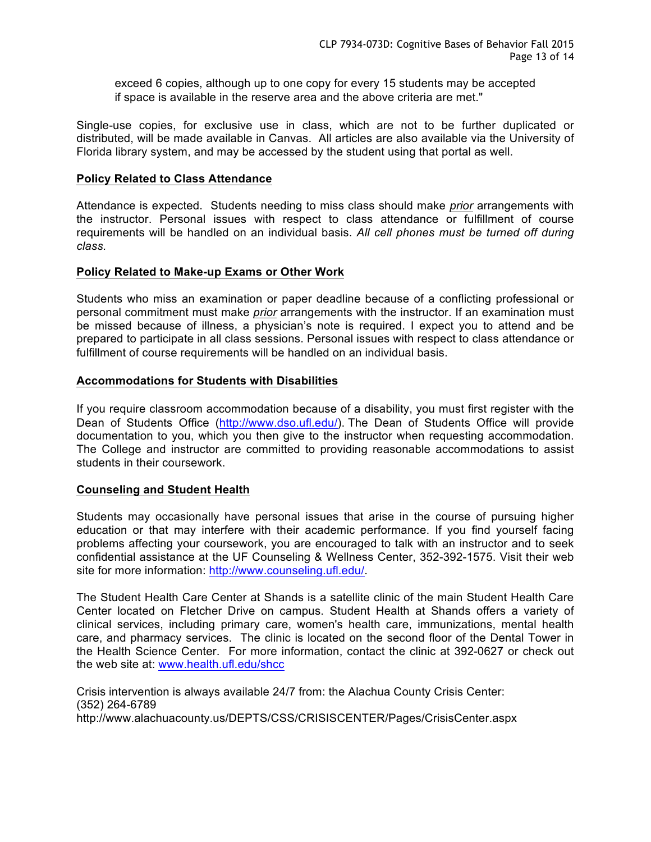exceed 6 copies, although up to one copy for every 15 students may be accepted if space is available in the reserve area and the above criteria are met."

Single-use copies, for exclusive use in class, which are not to be further duplicated or distributed, will be made available in Canvas. All articles are also available via the University of Florida library system, and may be accessed by the student using that portal as well.

## **Policy Related to Class Attendance**

Attendance is expected. Students needing to miss class should make *prior* arrangements with the instructor. Personal issues with respect to class attendance or fulfillment of course requirements will be handled on an individual basis. *All cell phones must be turned off during class.*

#### **Policy Related to Make-up Exams or Other Work**

Students who miss an examination or paper deadline because of a conflicting professional or personal commitment must make *prior* arrangements with the instructor. If an examination must be missed because of illness, a physician's note is required. I expect you to attend and be prepared to participate in all class sessions. Personal issues with respect to class attendance or fulfillment of course requirements will be handled on an individual basis.

#### **Accommodations for Students with Disabilities**

If you require classroom accommodation because of a disability, you must first register with the Dean of Students Office (http://www.dso.ufl.edu/). The Dean of Students Office will provide documentation to you, which you then give to the instructor when requesting accommodation. The College and instructor are committed to providing reasonable accommodations to assist students in their coursework.

## **Counseling and Student Health**

Students may occasionally have personal issues that arise in the course of pursuing higher education or that may interfere with their academic performance. If you find yourself facing problems affecting your coursework, you are encouraged to talk with an instructor and to seek confidential assistance at the UF Counseling & Wellness Center, 352-392-1575. Visit their web site for more information: http://www.counseling.ufl.edu/.

The Student Health Care Center at Shands is a satellite clinic of the main Student Health Care Center located on Fletcher Drive on campus. Student Health at Shands offers a variety of clinical services, including primary care, women's health care, immunizations, mental health care, and pharmacy services. The clinic is located on the second floor of the Dental Tower in the Health Science Center. For more information, contact the clinic at 392-0627 or check out the web site at: www.health.ufl.edu/shcc

Crisis intervention is always available 24/7 from: the Alachua County Crisis Center: (352) 264-6789 http://www.alachuacounty.us/DEPTS/CSS/CRISISCENTER/Pages/CrisisCenter.aspx